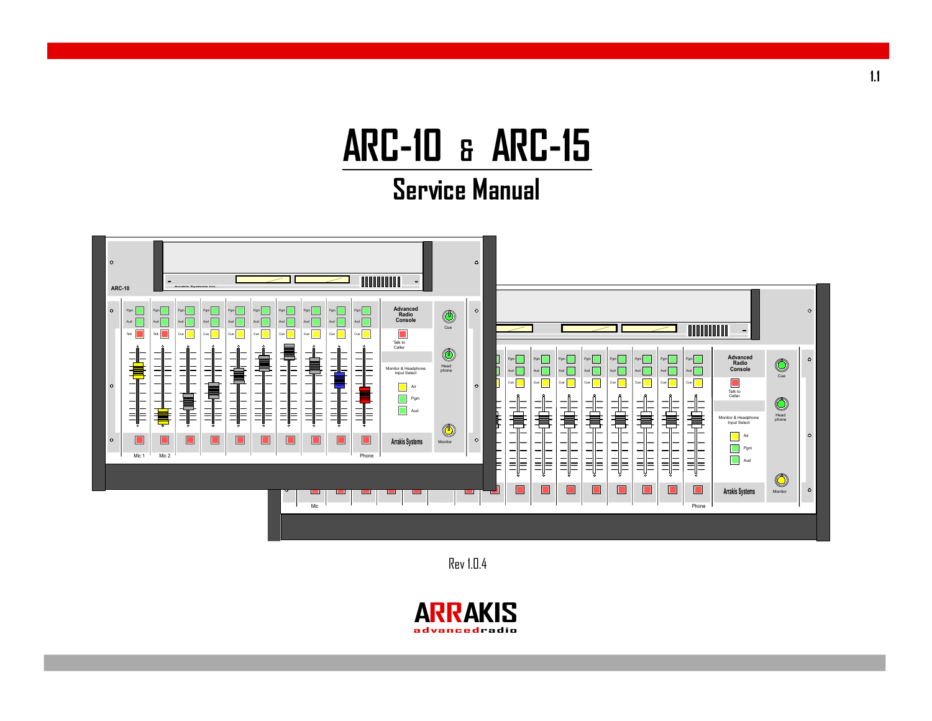# **ARC-10 & ARC-15**

### **Service Manual**



Rev 1.0.4

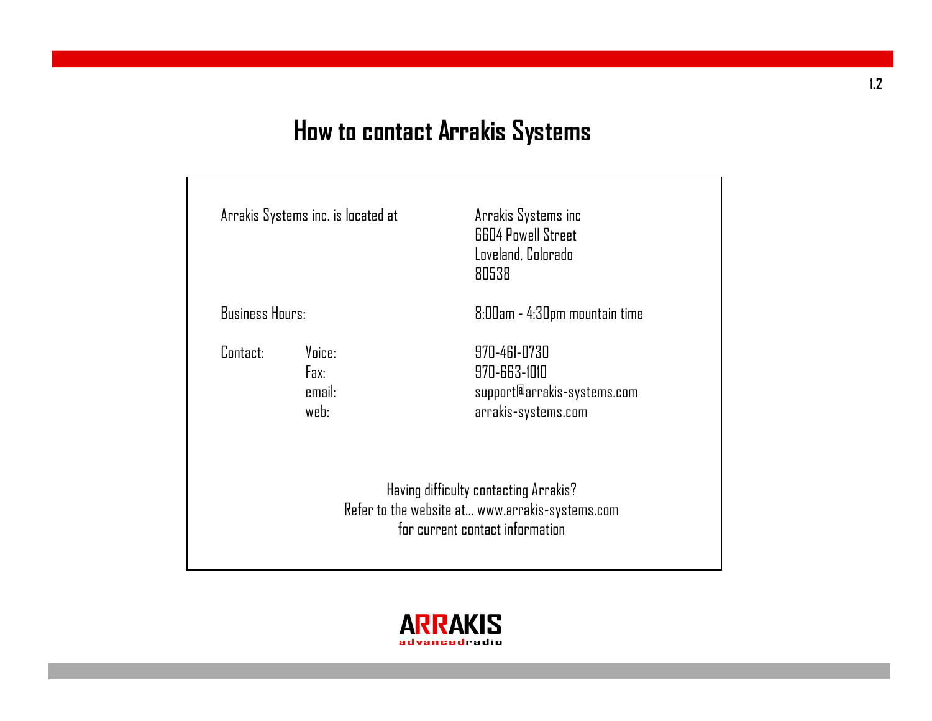# **How to contact Arrakis Systems**

|                        | Arrakis Systems inc. is located at | Arrakis Systems inc<br><b>6604 Powell Street</b><br>Loveland, Colorado<br>80538                                             |
|------------------------|------------------------------------|-----------------------------------------------------------------------------------------------------------------------------|
| <b>Business Hours:</b> |                                    | 8:00am - 4:30pm mountain time                                                                                               |
| Contact:               | Voice:<br>Fax:<br>email:<br>web:   | 970-461-0730<br>970-663-1010<br>support@arrakis-systems.com<br>arrakis-systems.com                                          |
|                        |                                    | Having difficulty contacting Arrakis?<br>Refer to the website at www.arrakis-systems.com<br>for current contact information |

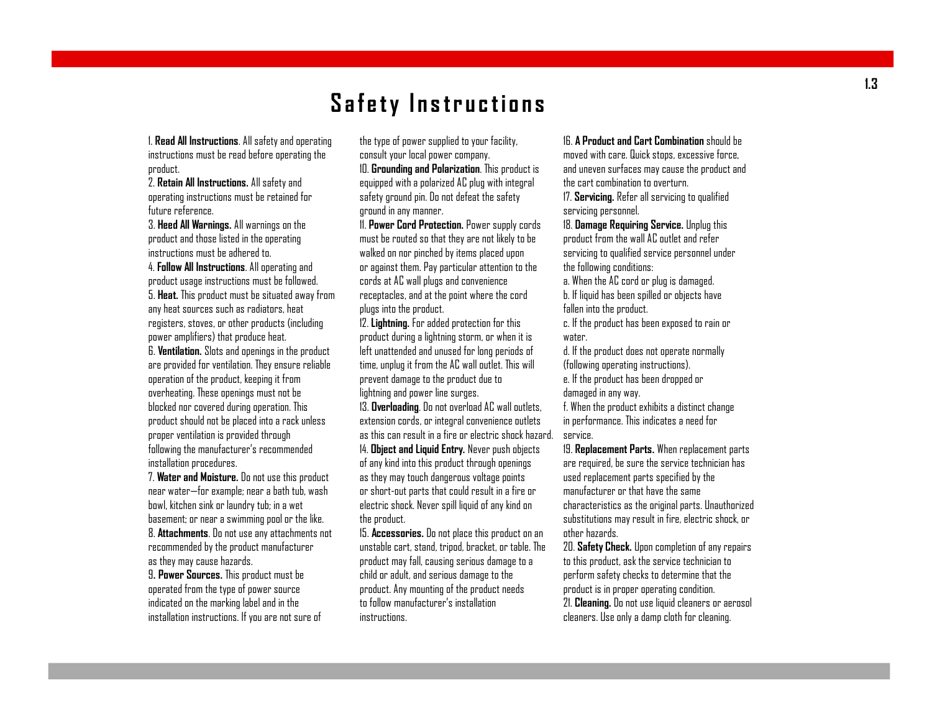### **S af e ty I n str u cti o n s**

1. **Read All Instructions**. All safety and operating instructions must be read before operating the product.

2. **Retain All Instructions.** All safety and operating instructions must be retained for future reference.

3. **Heed All Warnings.** All warnings on the product and those listed in the operating instructions must be adhered to.

4. **Follow All Instructions**. All operating and product usage instructions must be followed. 5. **Heat.** This product must be situated away from any heat sources such as radiators, heat registers, stoves, or other products (including power amplifiers) that produce heat.

6. **Ventilation.** Slots and openings in the product are provided for ventilation. They ensure reliable operation of the product, keeping it from overheating. These openings must not be blocked nor covered during operation. This product should not be placed into a rackunless proper ventilation is provided through following the manufacturer's recommended installation procedures.

7. **Water and Moisture.** Do not use this product near water—for example; near a bath tub, wash bowl, kitchen sink or laundry tub; in a wet basement; or near a swimming pool or the like. 8. **Attachments**. Do not use any attachments not recommended by the product manufacturer as they may cause hazards.

9**. Power Sources.** This product must be operated from the type of power source indicated on the marking label and in the installation instructions. If you are not sure of the type of power supplied to your facility, consult your local power company.

10. **Grounding and Polarization**. This product is equipped with a polarized AC plug with integral safety ground pin. Do not defeat the safety ground in any manner.

11. **Power Cord Protection.** Power supply cords must be routed so that they are not likely to be walked on nor pinched by items placed upon or against them. Pay particular attention to the cords at AC wall plugs and convenience receptacles, and at the point where the cord plugs into the product.

12. **Lightning.** For added protection for this product during a lightning storm, or when it is left unattended and unused for long periods of time, unplug it from the AC wall outlet. This will prevent damage to the product due to lightning and power line surges.

13. **Overloading**. Do not overload AC wall outlets, extension cords, or integral convenience outlets as this can result in a fire or electric shockhazard. 14. **Object and Liquid Entry.** Never push objects of any kind into this product through openings as they may touch dangerous voltage points or short-out parts that could result in a fire or electric shock. Never spill liquid of any kind on the product.

15. **Accessories.** Do not place this product on an unstable cart, stand, tripod, bracket, or table. The product may fall, causing serious damage to a child or adult, and serious damage to the product. Any mounting of the product needs to follow manufacturer's installation instructions.

16. **A Product and Cart Combination** should be moved with care. Quick stops, excessive force, and uneven surfaces may cause the product and the cart combination to overturn.

17. **Servicing.** Refer all servicing to qualified servicing personnel.

18. **Damage Requiring Service.** Unplug this product from the wall AC outlet and refer servicing to qualified service personnel under the following conditions:

a. When the AC cord or plug is damaged. b. If liquid has been spilled or objects have fallen into the product.

c. If the product has been exposed to rain or water.

d. If the product does not operate normally (following operating instructions).

e. If the product has been dropped or

damaged in any way.

f. When the product exhibits a distinct change in performance. This indicates a need for service.

19. **Replacement Parts.** When replacement parts are required, be sure the service technician has used replacement parts specified by the manufacturer or that have the same characteristics as the original parts. Unauthorized substitutions may result in fire, electric shock, or other hazards.

20. **Safety Check.** Upon completion of any repairs to this product, ask the service technician to perform safety checks to determine that the product is in proper operating condition. 21. **Cleaning.** Do not use liquid cleaners or aerosol cleaners. Use only a damp cloth for cleaning.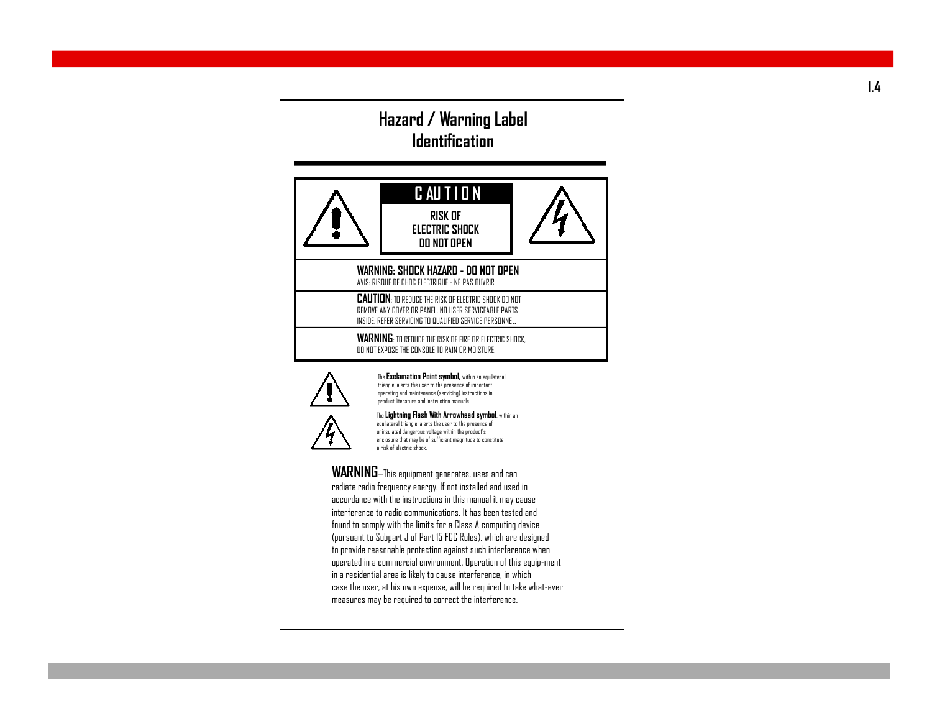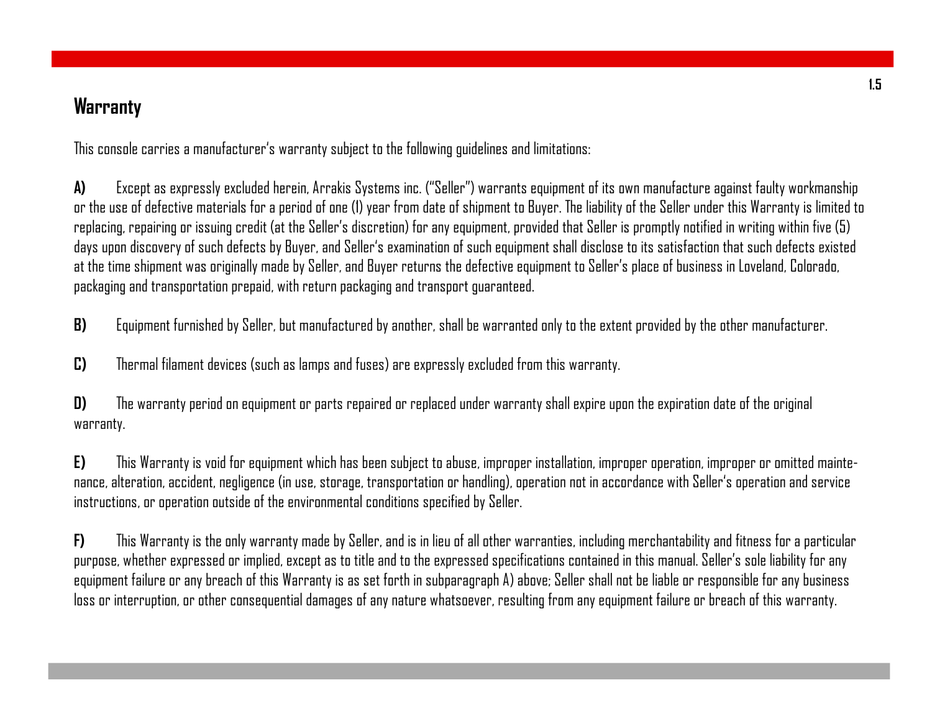### **Warranty**

This console carries a manufacturer's warranty subject to the following guidelines and limitations:

**A)** Except as expressly excluded herein, Arrakis Systems inc. ("Seller") warrants equipment of its own manufacture against faulty workmanship or the use of defective materials for a period of one (1) year from date of shipment to Buyer. The liability of the Seller under this Warranty is limited to replacing, repairing or issuing credit (at the Seller's discretion) for any equipment, provided that Seller is promptly notified in writing within five (5) days upon discovery of such defects by Buyer, and Seller's examination of such equipment shall disclose to its satisfaction that such defects existed at the time shipment was originally made by Seller, and Buyer returns the defective equipment to Seller's place of business in Loveland, Colorado, packaging and transportation prepaid, with return packaging and transport guaranteed.

**B)** Equipment furnished by Seller, but manufactured by another, shall be warranted only to the extent provided by the other manufacturer.

**C)** Thermal filament devices (such as lamps and fuses) are expressly excluded from this warranty.

**D)** The warranty period on equipment or parts repaired or replaced under warranty shall expire upon the expiration date of the original warranty.

**E)** This Warranty is void for equipment which has been subject to abuse, improper installation, improper operation, improper or omitted maintenance, alteration, accident, negligence (in use, storage, transportation or handling), operation not in accordance with Seller's operation and service instructions, or operation outside of the environmental conditions specified by Seller.

**F)** This Warranty is the only warranty made by Seller, and is in lieu of all other warranties, including merchantability and fitness for a particular purpose, whether expressed or implied, except as to title and to the expressed specifications contained in this manual. Seller's sole liability for any equipment failure or any breach of this Warranty is as set forth in subparagraph A) above; Seller shall not be liable or responsible for any business loss or interruption, or other consequential damages of any nature whatsoever, resulting from any equipment failure or breach of this warranty.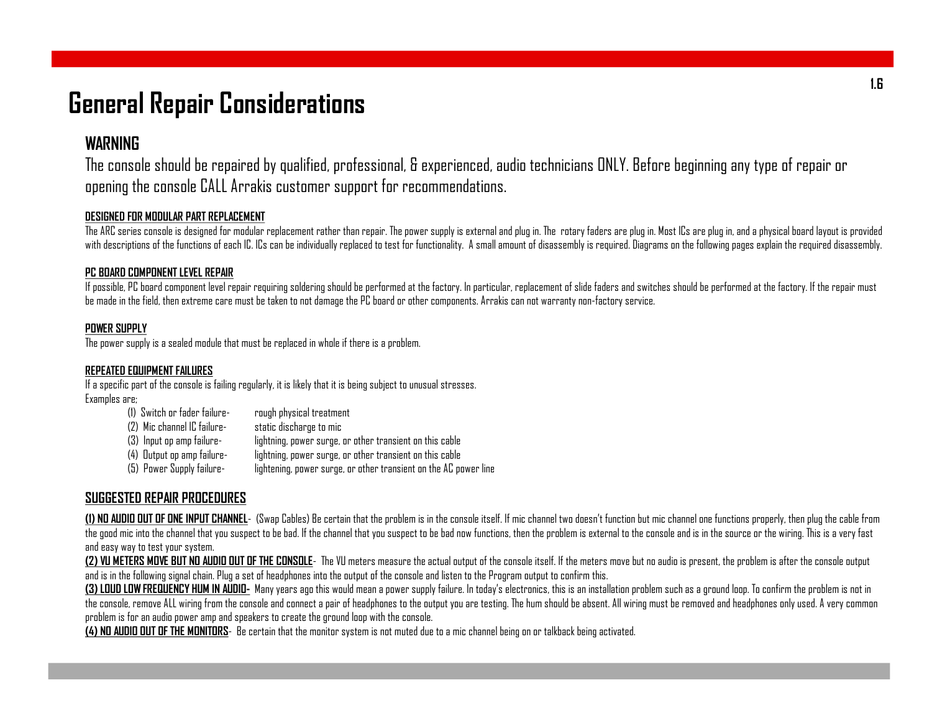### **General Repair Considerations**

### **WARNING**

The console should be repaired by qualified, professional, & experienced, audio technicians ONLY. Before beginning any type of repair or opening the console CALL Arrakis customer support for recommendations.

#### **DESIGNED FOR MODULAR PART REPLACEMENT**

The ARC series console is designed for modular replacement rather than repair. The power supply is external and plug in. The rotary faders are plug in. Most ICs are plug in, and a physical board layout is provided with descriptions of the functions of each IC. ICs can be individually replaced to test for functionality. A small amount of disassembly is required. Diagrams on the following pages explain the required disassembly.

#### **PC BOARD COMPONENTLEVEL REPAIR**

If possible, PC board component level repair requiring soldering should be performed at the factory. In particular, replacement of slide faders and switches should be performed at the factory. If the repair must be made in the field, then extreme care must be taken to not damage the PC board or other components. Arrakis can not warranty non-factory service.

#### **POWER SUPPLY**

The power supply is a sealed module that must be replaced in whole if there is a problem.

#### **REPEATED EQUIPMENTFAILURES**

If a specific part of the console is failing regularly, it is likely that it is being subject to unusual stresses. Examples are;

> (1) Switch or fader failure- rough physical treatment (2) Mic channel IC failure- static discharge to mic (3) Input op amp failure- lightning, power surge, or other transient on this cable (4) Output op amp failure- lightning, power surge, or other transient on this cable (5) Power Supply failure- lightening, power surge, or other transient on the AC power line

#### **SUGGESTED REPAIR PROCEDURES**

(1) NO AUDIO OUT OF ONE INPUT CHANNEL- (Swap Cables) Be certain that the problem is in the console itself. If mic channel two doesn't function but mic channel one functions properly, then plug the cable from the good mic into the channel that you suspect to be bad. If the channel that you suspect to be bad now functions, then the problem is external to the console and is in the source or the wiring. This is a very fast and easy way to test your system.

(2) VU METERS MOVE BUT NO AUDIO OUT OF THE CONSOLE- The VU meters measure the actual output of the console itself. If the meters move but no audio is present, the problem is after the console output and is in the following signal chain. Plug a set of headphones into the output of the console and listen to the Program output to confirm this.

(3) LOUD LOW FREQUENCY HUM IN AUDIO- Many years ago this would mean a power supply failure. In today's electronics, this is an installation problem such as a ground loop. To confirm the problem is not in the console, remove ALL wiring from the console and connect a pair of headphones to the output you are testing. The hum should be absent. All wiring must be removed and headphones only used. A very common problem is for an audio power amp and speakers to create the ground loop with the console.

**(4) NO AUDIO OUT OFTHE MONITORS**- Be certain that the monitor system is not muted due to a mic channel being on or talkbackbeing activated.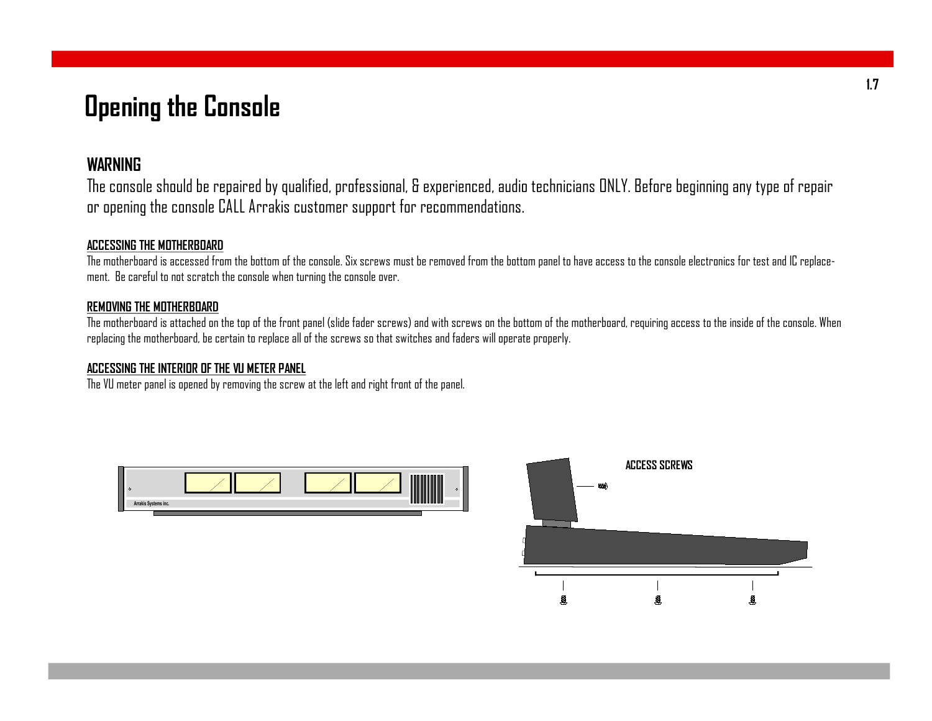# **Opening the Console**

#### **WARNING**

The console should be repaired by qualified, professional, & experienced, audio technicians ONLY. Before beginning any type of repair or opening the console CALL Arrakis customer support for recommendations.

#### **ACCESSING THE MOTHERBOARD**

The motherboard is accessed from the bottom of the console. Six screws must be removed from the bottom panel to have access to the console electronics for test and IC replacement. Be careful to not scratch the console when turning the console over.

#### **REMOVING THE MOTHERBOARD**

The motherboard is attached on the top of the front panel (slide fader screws) and with screws on the bottom of the motherboard, requiring access to the inside of the console. When replacing the motherboard, be certain to replace all of the screws so that switches and faders will operate properly.

#### **ACCESSING THE INTERIOR OFTHE VU METER PANEL**

The VU meter panel is opened by removing the screw at the left and right front of the panel.



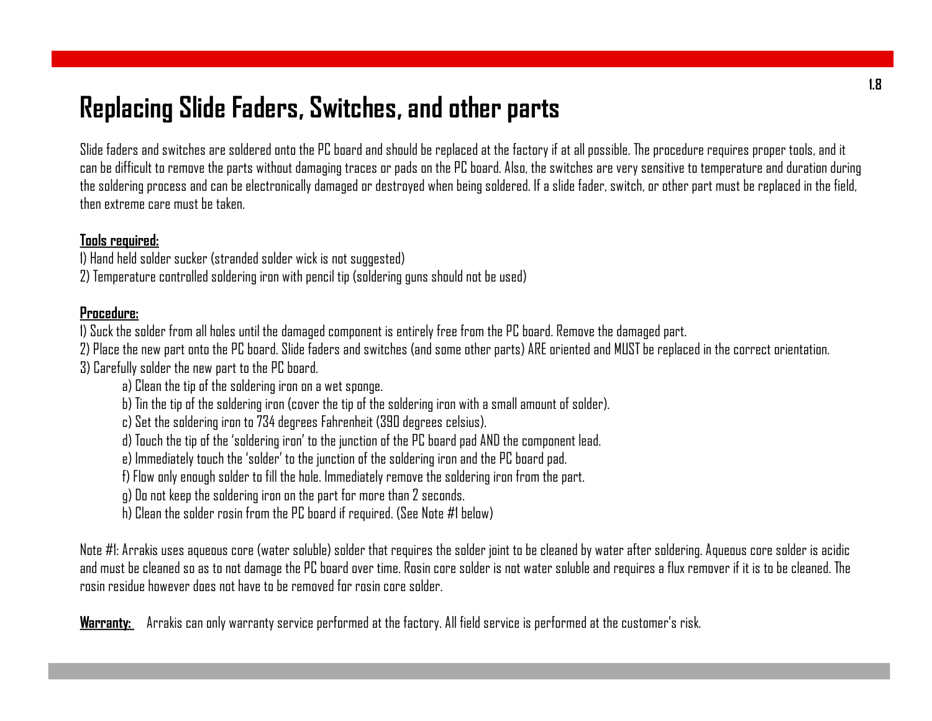# **Replacing Slide Faders, Switches, and other parts**

Slide faders and switches are soldered onto the PC board and should be replaced at the factory if at all possible. The procedure requires proper tools, and it can be difficult to remove the parts without damaging traces or pads on the PC board. Also, the switches are very sensitive to temperature and duration during the soldering process and can be electronically damaged or destroyed when being soldered. If a slide fader, switch, or other part must be replaced in the field, then extreme care must be taken.

#### **Tools required:**

- 1) Hand held solder sucker (stranded solder wick is not suggested)
- 2) Temperature controlled soldering iron with pencil tip (soldering guns should not be used)

#### **Procedure:**

- 1) Suck the solder from all holes until the damaged component is entirely free from the PC board. Remove the damaged part.
- 2) Place the new part onto the PC board. Slide faders and switches (and some other parts) ARE oriented and MUSTbe replaced in the correct orientation. 3) Carefully solder the new part to the PC board.
	- a) Clean the tip of the soldering iron on a wet sponge.
	- b) Tin the tip of the soldering iron (cover the tip of the soldering iron with a small amount of solder).
	- c) Set the soldering iron to 734 degrees Fahrenheit (390 degrees celsius).
	- d) Touch the tip of the 'soldering iron' to the junction of the PC board pad AND the component lead.
	- e) Immediately touch the 'solder' to the junction of the soldering iron and the PC board pad.
	- f) Flow only enough solder to fill the hole. Immediately remove the soldering iron from the part.
	- g) Do not keep the soldering iron on the part for more than 2 seconds.
	- h) Clean the solder rosin from the PC board if required. (See Note #1 below)

Note #1: Arrakis uses aqueous core (water soluble) solder that requires the solder joint to be cleaned by water after soldering. Aqueous core solder is acidic and must be cleaned so as to not damage the PC board over time. Rosin core solder is not water soluble and requires a flux remover if it is to be cleaned. The rosin residue however does not have to be removed for rosin core solder.

**Warranty:** Arrakis can only warranty service performed at the factory. All field service is performed at the customer's risk.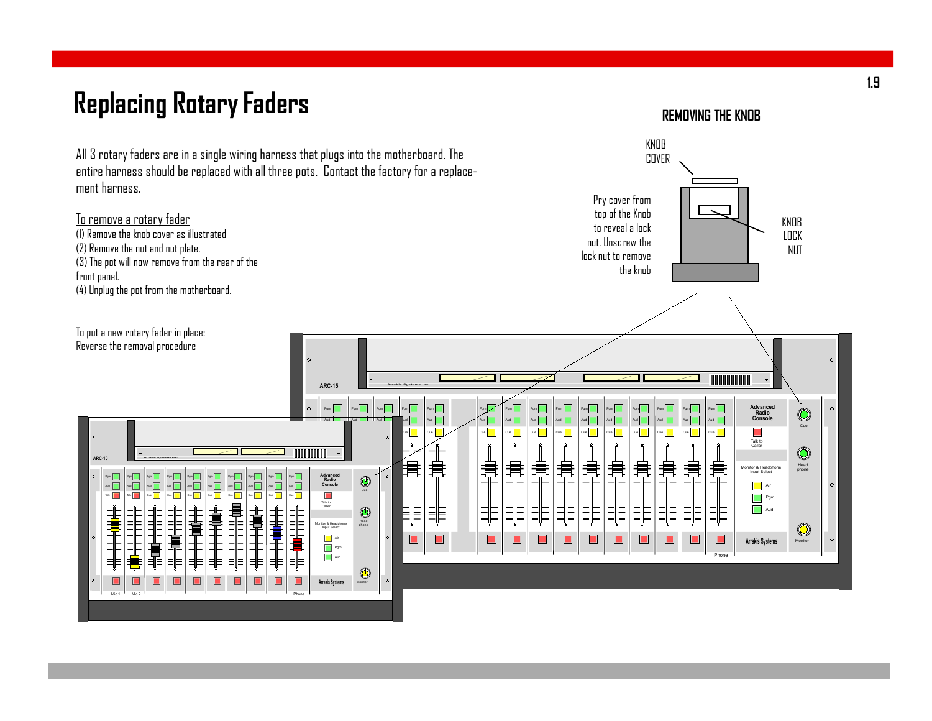# **Replacing RotaryFaders**

**REMOVING THE KNOB**

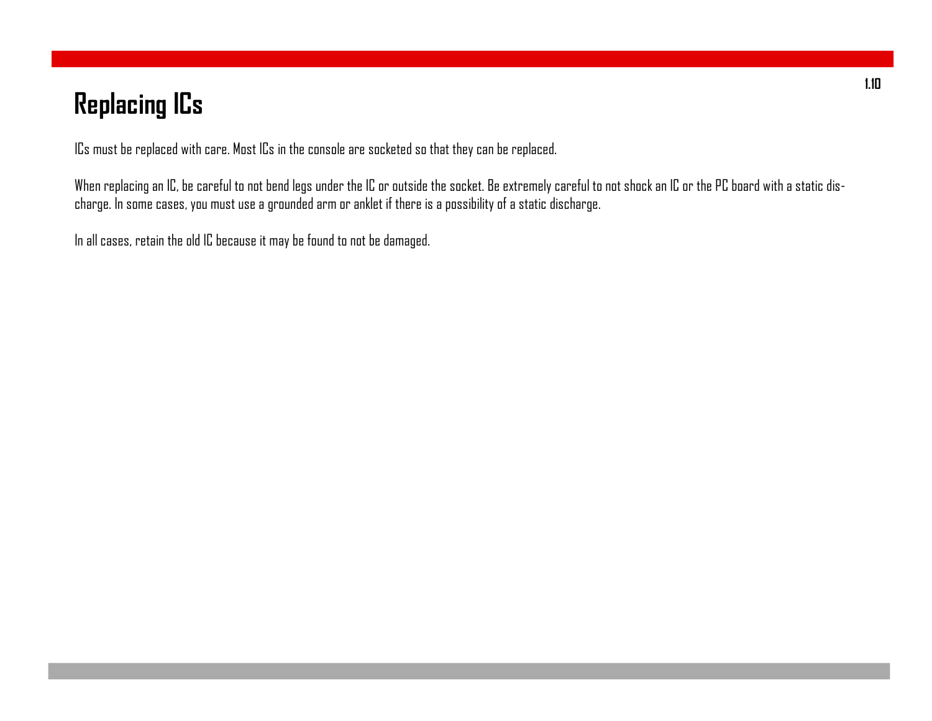# **Replacing ICs**

ICs must be replaced with care. Most ICs in the console are socketed so that they can be replaced.

When replacing an IC, be careful to not bend legs under the IC or outside the socket. Be extremely careful to not shock an IC or the PC board with a static discharge. In some cases, you must use a grounded arm or anklet if there is a possibility of a static discharge.

In all cases, retain the old IC because it may be found to not be damaged.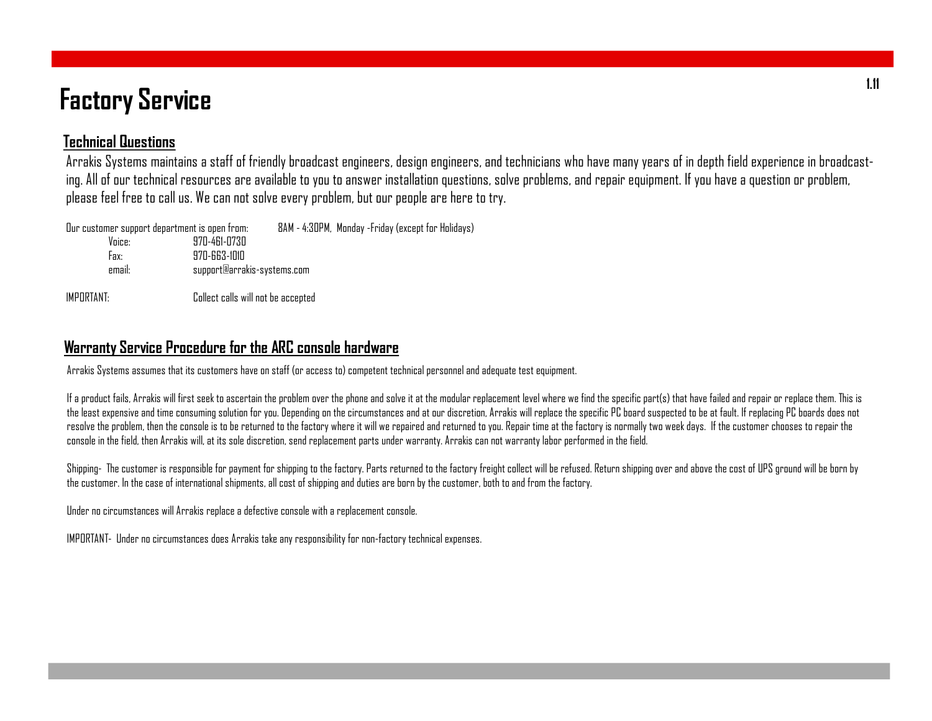# **Factory Service**

#### **Technical Questions**

Arrakis Systems maintains a staff of friendly broadcast engineers, design engineers, and technicians who have many years of in depth field experience in broadcasting. All of our technical resources are available to you to answer installation questions, solve problems, and repair equipment. If you have a question or problem, please feel free to call us. We can not solve every problem, but our people are here to try.

| Our customer support department is open from: |                                    | 8AM - 4:30PM, Monday -Friday (except for Holidays) |
|-----------------------------------------------|------------------------------------|----------------------------------------------------|
| Voice:                                        | 970-461-0730                       |                                                    |
| Fax:                                          | 970-663-1010                       |                                                    |
| email:                                        | support@arrakis-systems.com        |                                                    |
| IMPORTANT:                                    | Collect calls will not be accepted |                                                    |

#### **Warranty Service Procedure for the ARC console hardware**

Arrakis Systems assumes that its customers have on staff (or access to) competent technical personnel and adequate test equipment.

If a product fails, Arrakis will first seek to ascertain the problem over the phone and solve it at the modular replacement level where we find the specific part(s) that have failed and repair or replace them. This is the least expensive and time consuming solution for you. Depending on the circumstances and at our discretion, Arrakis will replace the specific PC board suspected to be at fault. If replacing PC boards does not resolve the problem, then the console is to be returned to the factory where it will we repaired and returned to you. Repair time at the factory is normally two week days. If the customer chooses to repair the console in the field, then Arrakis will, at its sole discretion, send replacement parts under warranty. Arrakis can not warranty labor performed in the field.

Shipping- The customer is responsible for payment for shipping to the factory. Parts returned to the factory freight collect will be refused. Return shipping over and above the cost of UPS ground will be born by the customer. In the case of international shipments, all cost of shipping and duties are born by the customer, both to and from the factory.

Under no circumstances will Arrakis replace a defective console with a replacement console.

IMPORTANT- Under no circumstances does Arrakis take any responsibility for non-factory technical expenses.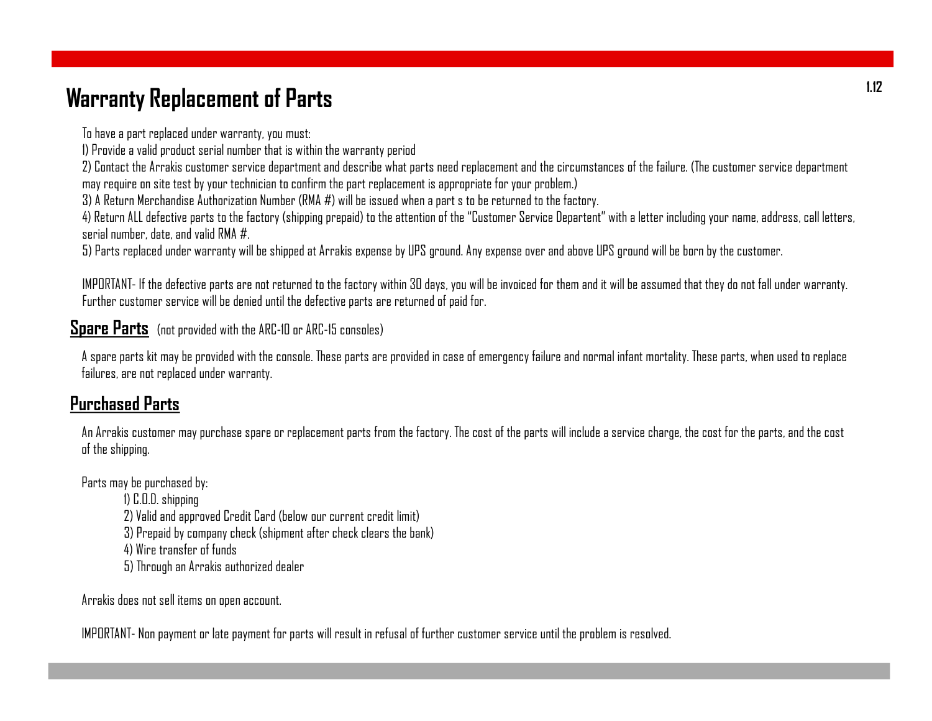### **Warranty Replacement of Parts**

To have a part replaced under warranty, you must:

1) Provide a valid product serial number that is within the warranty period

2) Contact the Arrakis customer service department and describe what parts need replacement and the circumstances of the failure. (The customer service department may require on site test by your technician to confirm the part replacement is appropriate for your problem.)

3) A Return Merchandise Authorization Number (RMA #) will be issued when a part s to be returned to the factory.

4) Return ALL defective parts to the factory (shipping prepaid) to the attention of the "Customer Service Departent" with a letter including your name, address, call letters, serial number, date, and valid RMA #.

5) Parts replaced under warranty will be shipped at Arrakis expense by UPS ground. Any expense over and above UPS ground will be born by the customer.

IMPORTANT- If the defective parts are not returned to the factory within 30 days, you will be invoiced for them and it will be assumed that they do not fall under warranty. Further customer service will be denied until the defective parts are returned of paid for.

**Spare Parts** (not provided with the ARC-10 or ARC-15 consoles)

A spare parts kit may be provided with the console. These parts are provided in case of emergency failure and normal infant mortality. These parts, when used to replace failures, are not replaced under warranty.

### **Purchased Parts**

An Arrakis customer may purchase spare or replacement parts from the factory. The cost of the parts will include a service charge, the cost for the parts, and the cost of the shipping.

Parts may be purchased by:

1) C.O.D. shipping

2) Valid and approved Credit Card (below our current credit limit)

3) Prepaid by company check (shipment after check clears the bank)

4) Wire transfer of funds

5) Through an Arrakis authorized dealer

Arrakis does not sell items on open account.

IMPORTANT- Non payment or late payment for parts will result in refusal of further customer service until the problem is resolved.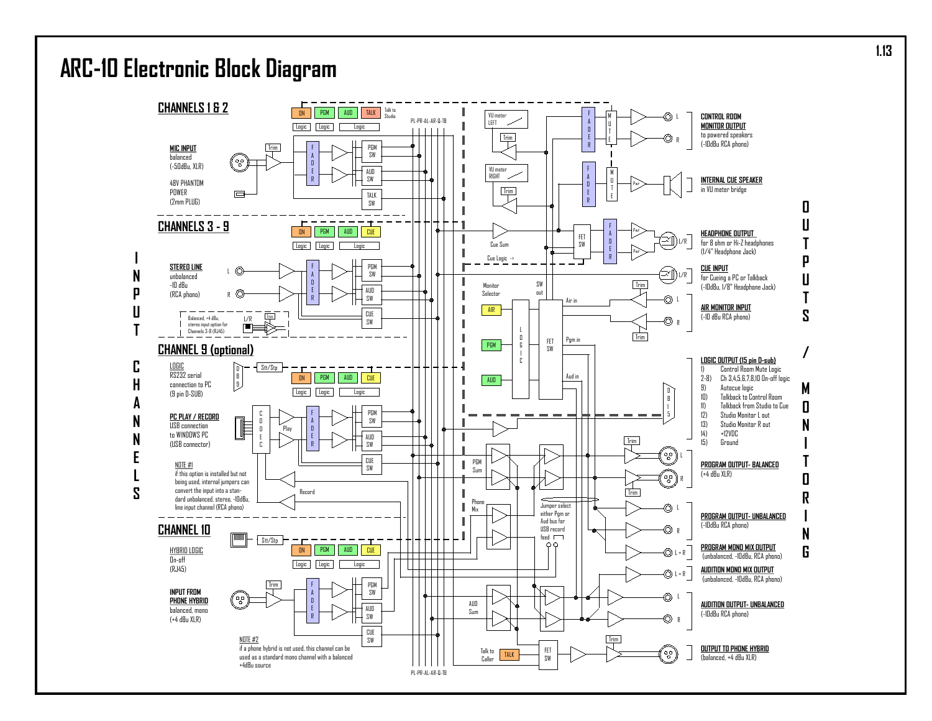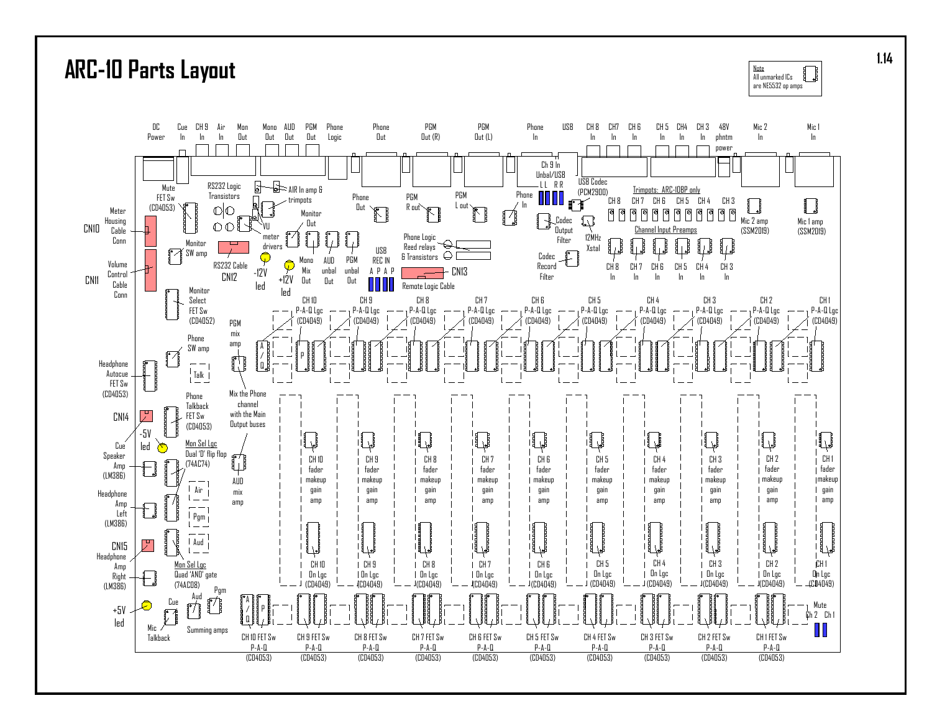

**<sup>1.14</sup>**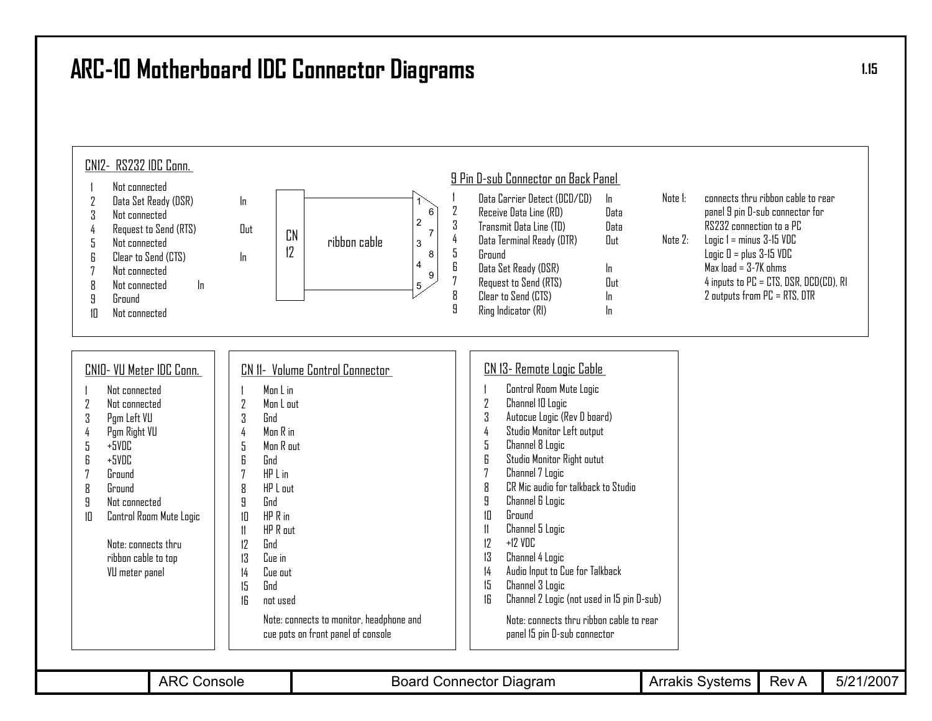### **ARC-10 Motherboard IDC Connector Diagrams**

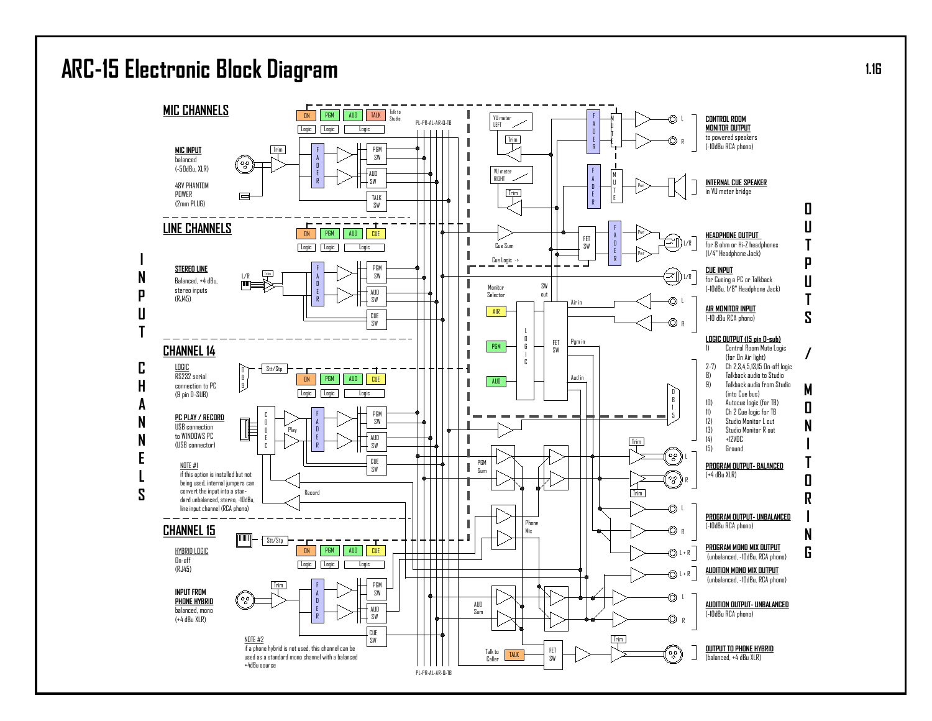### ARC-15 Electronic Block Diagram

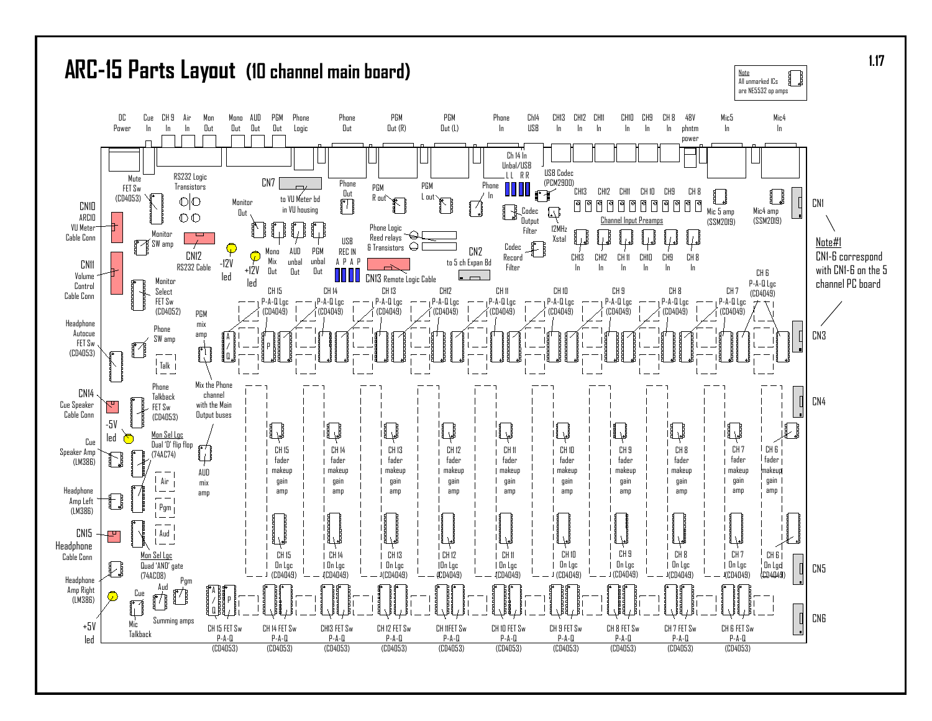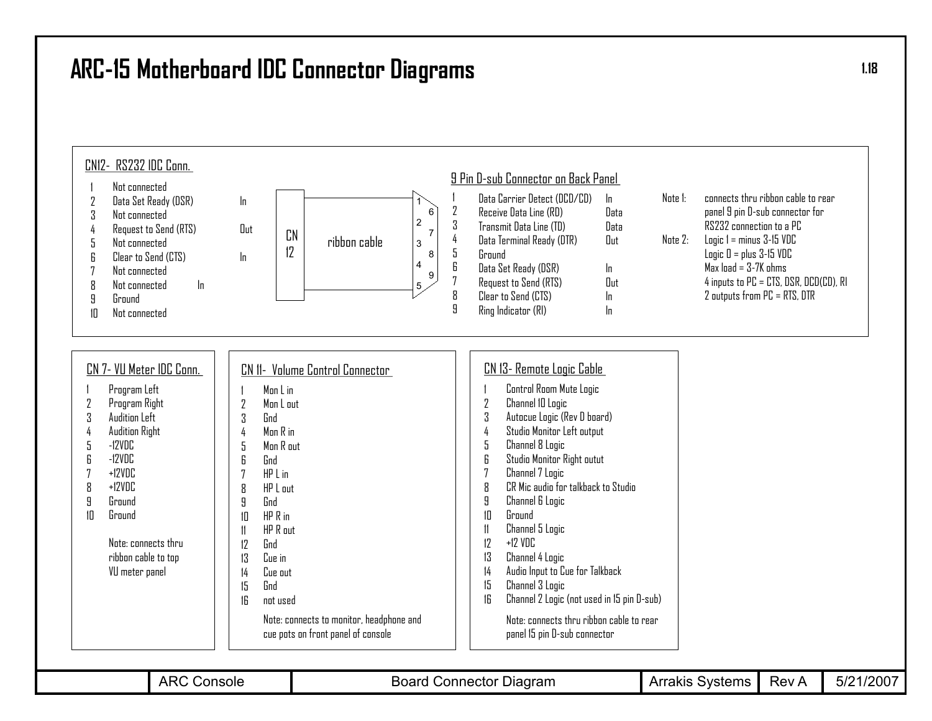### **ARC-15 Motherboard IDC Connector Diagrams**



**1.18**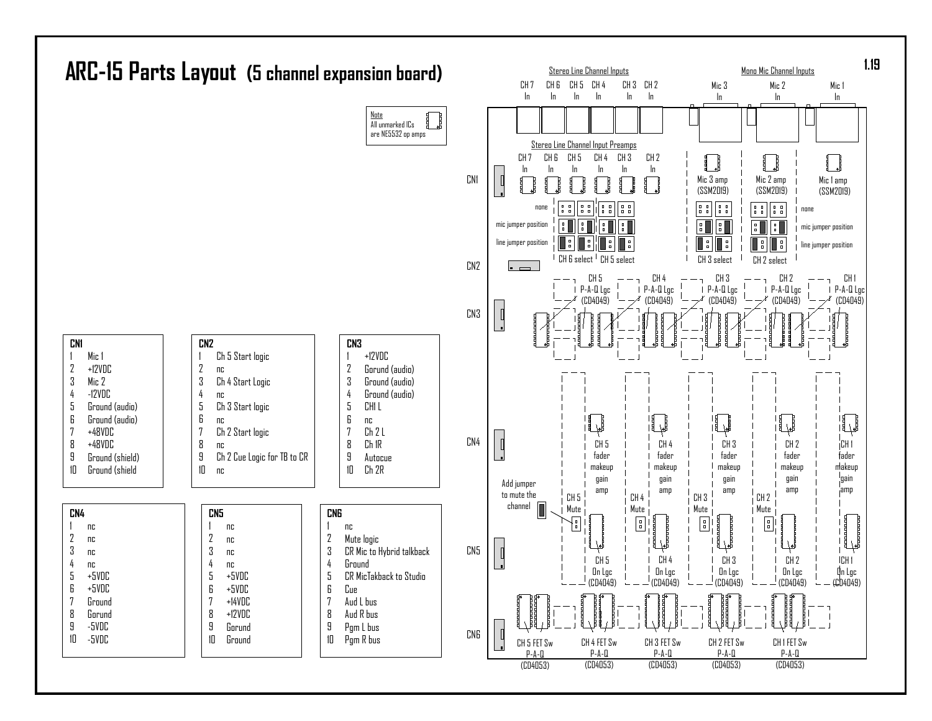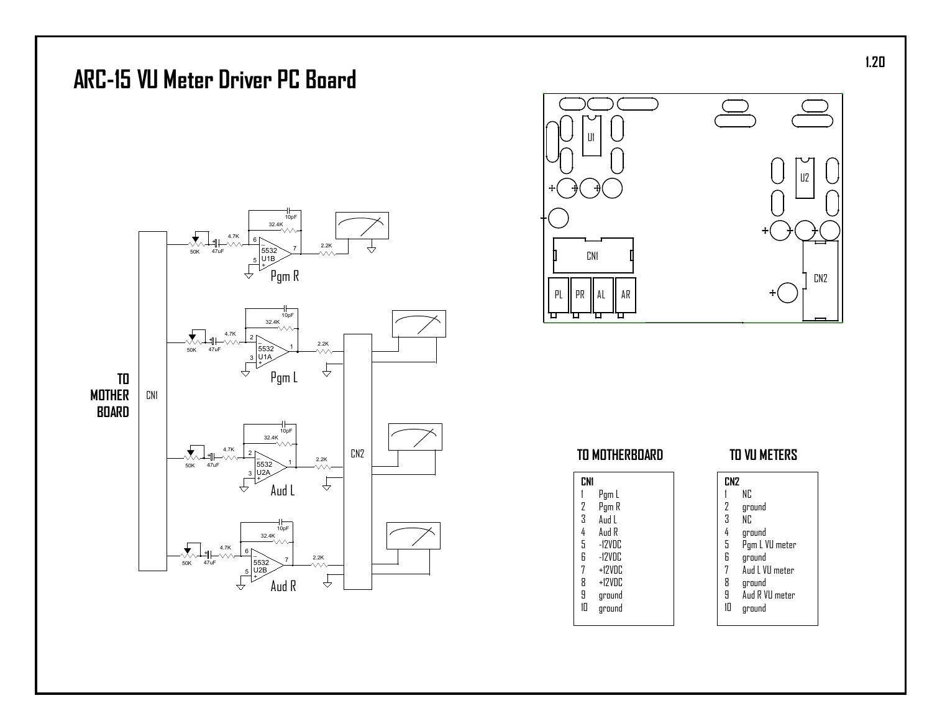

ground

**0**

C N 2

U 2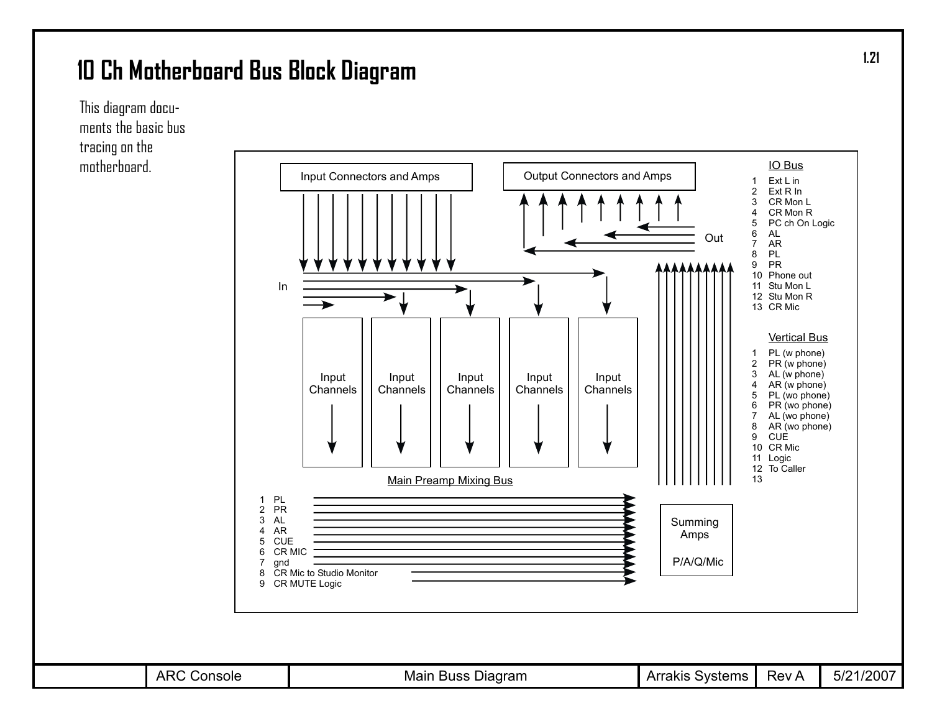### **10 Ch Motherboard Bus Block Diagram**



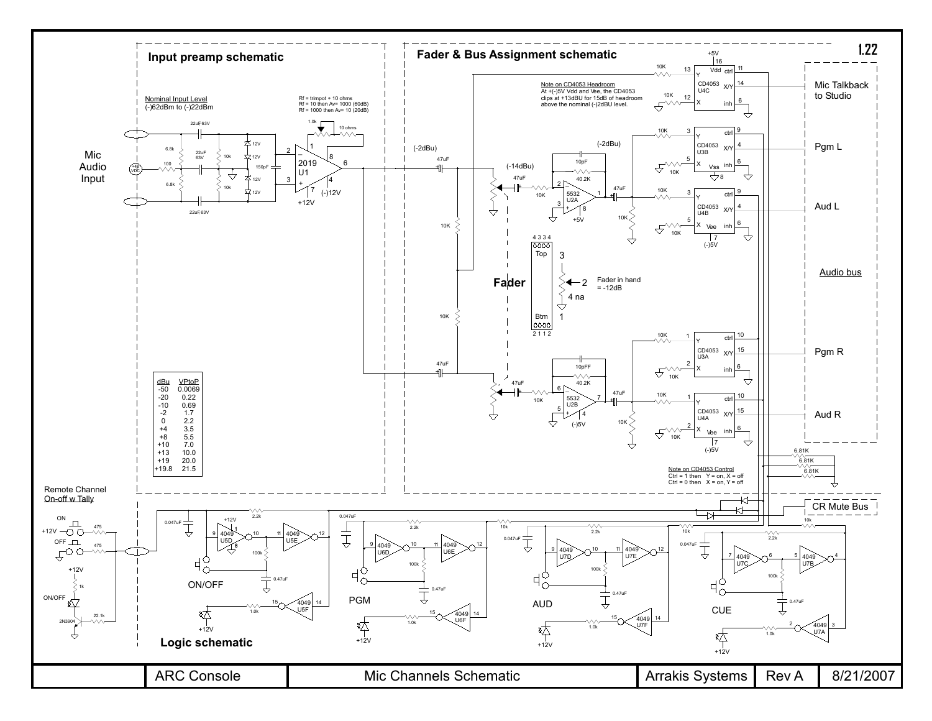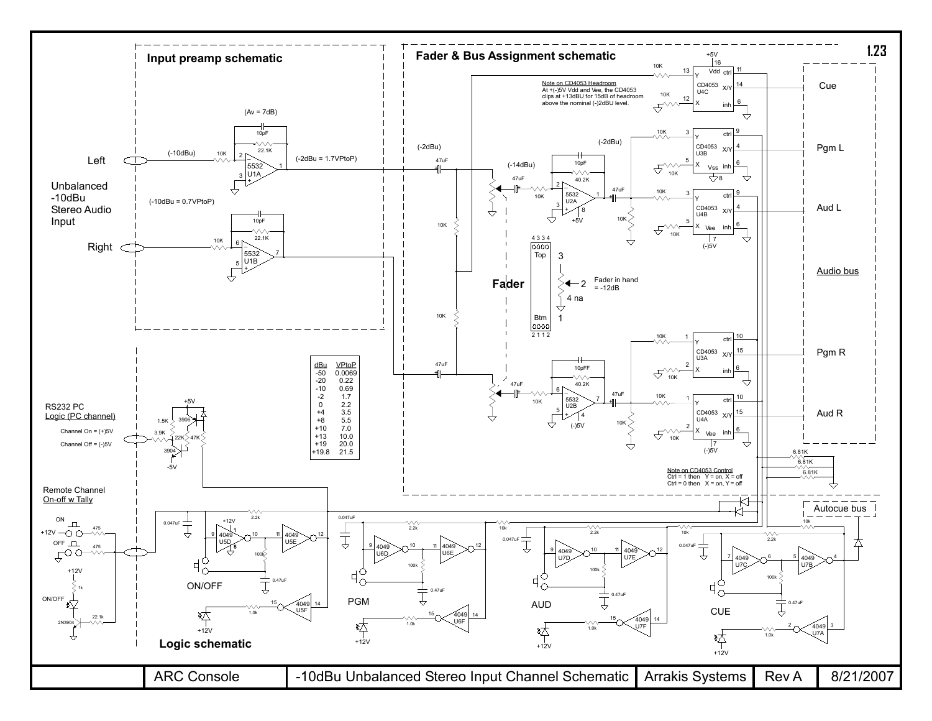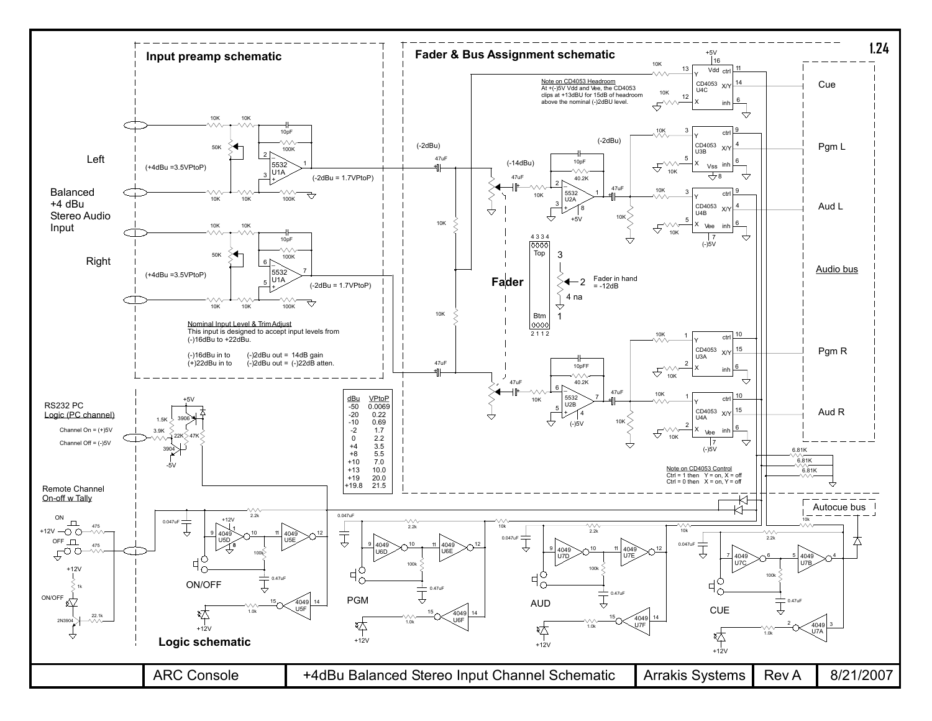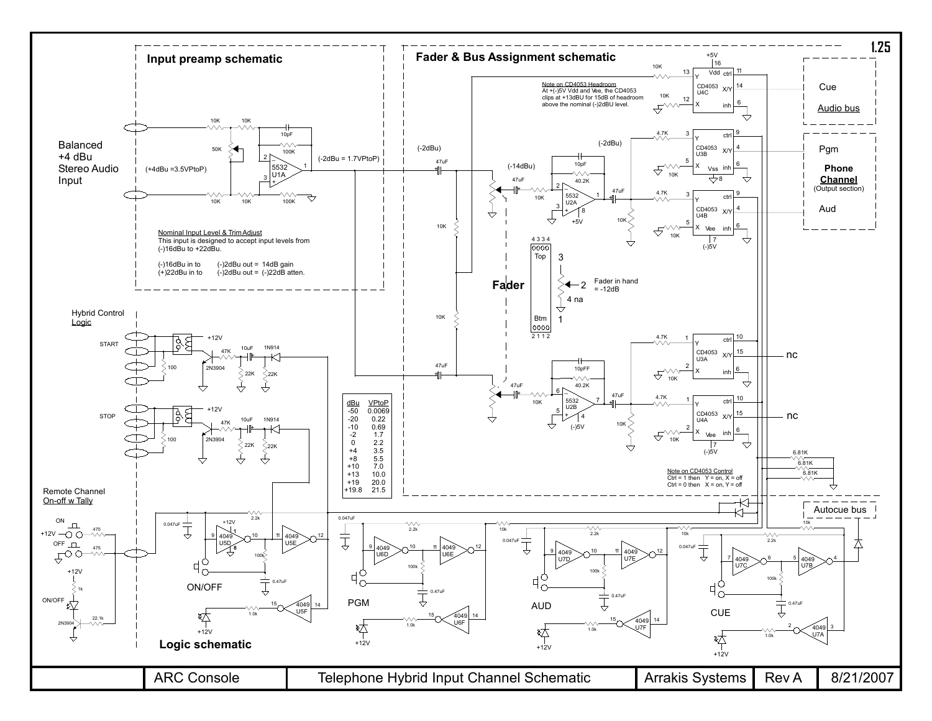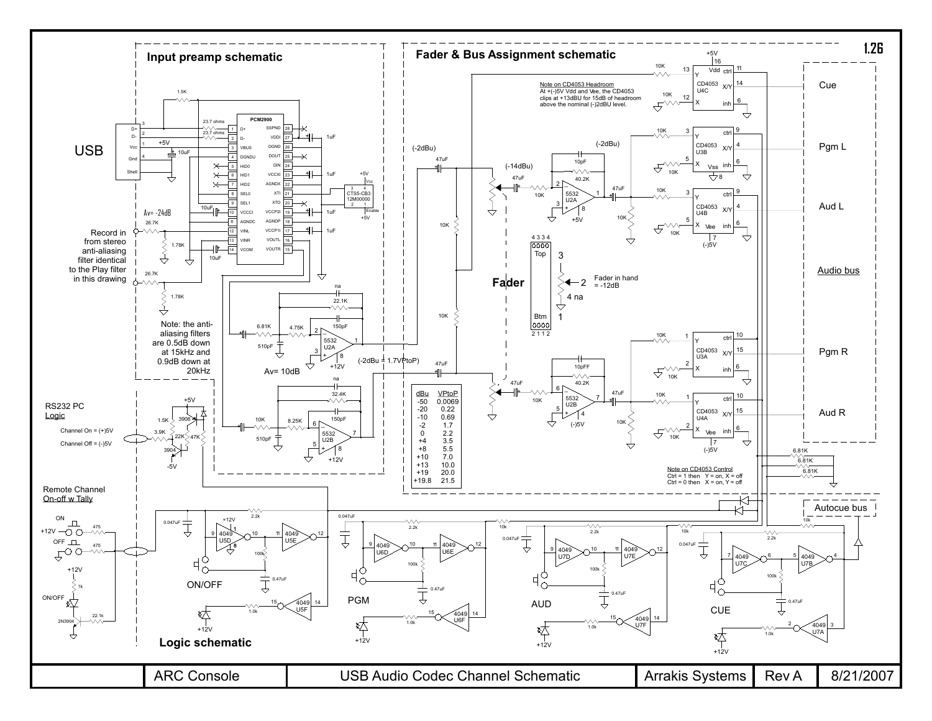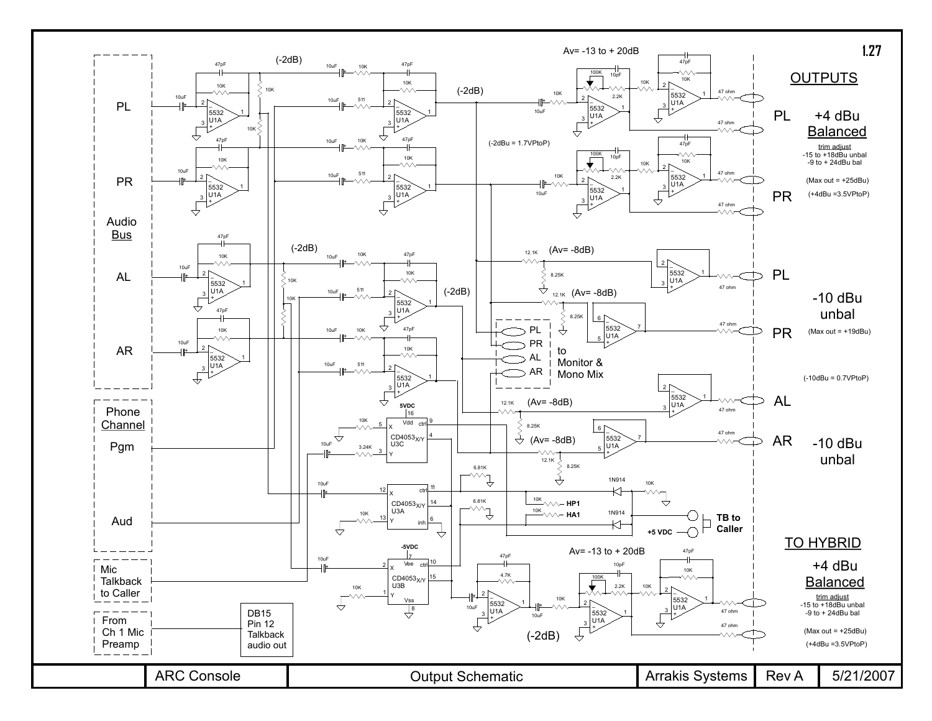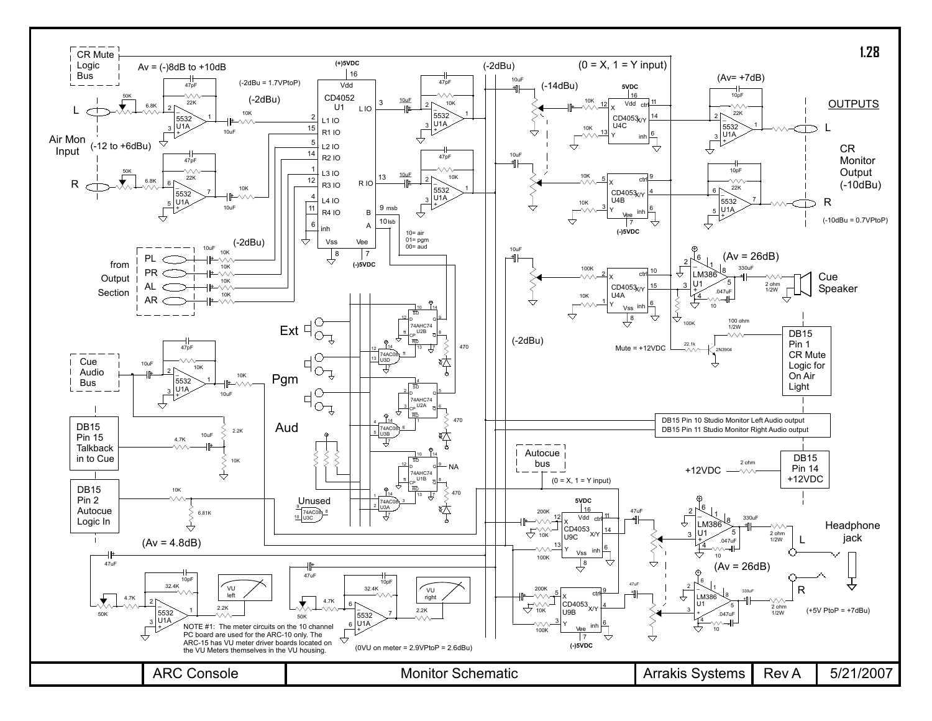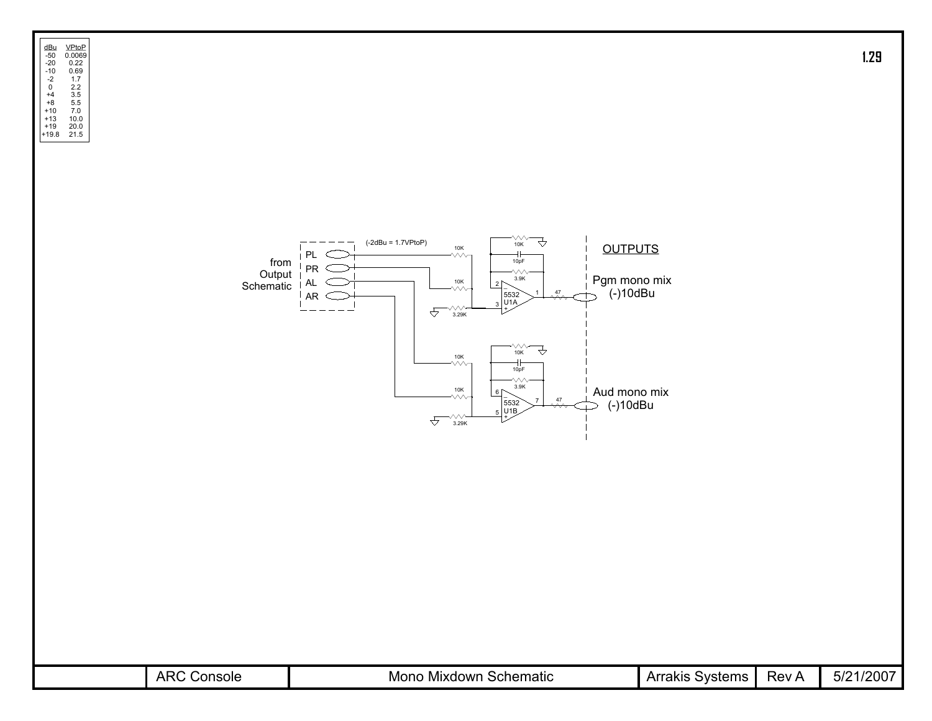

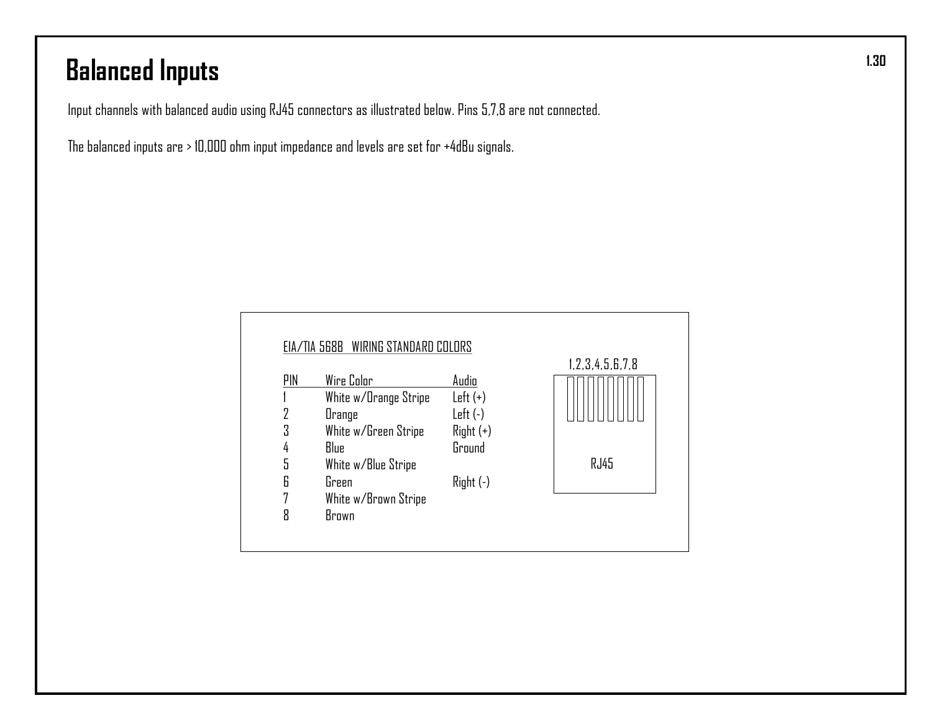# **Balanced Inputs**

Input channels with balanced audio using RJ45 connectors as illustrated below. Pins 5,7,8 are not connected.

The balanced inputs are > 10,000 ohm input impedance and levels are set for +4dBu signals.

|     | <b>EIA/TIA 568B WIRING STANDARD COLORS</b> |             |                        |
|-----|--------------------------------------------|-------------|------------------------|
| PIN | Wire Color                                 | Audio       | 1, 2, 3, 4, 5, 6, 7, 8 |
|     | White w/Orange Stripe                      | $Left (+)$  |                        |
| 2   | Orange                                     | $Left(-)$   |                        |
| 3   | White w/Green Stripe                       | $Right (+)$ |                        |
| 4   | Blue                                       | Ground      |                        |
| 5   | White w/Blue Stripe                        |             | RJ45                   |
| 6   | Green                                      | $Right(-)$  |                        |
| 7   | White w/Brown Stripe                       |             |                        |
| 8   | Brown                                      |             |                        |